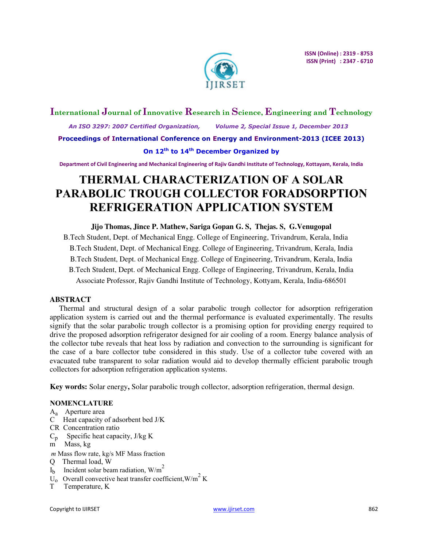

# **International Journal of Innovative Research in Science, Engineering and Technology**  *An ISO 3297: 2007 Certified Organization, Volume 2, Special Issue 1, December 2013*  **Proceedings of International Conference on Energy and Environment-2013 (ICEE 2013)**

**On 12th to 14th December Organized by** 

**Department of Civil Engineering and Mechanical Engineering of Rajiv Gandhi Institute of Technology, Kottayam, Kerala, India** 

# **THERMAL CHARACTERIZATION OF A SOLAR PARABOLIC TROUGH COLLECTOR FORADSORPTION REFRIGERATION APPLICATION SYSTEM**

**Jijo Thomas, Jince P. Mathew, Sariga Gopan G. S, Thejas. S, G.Venugopal** B.Tech Student, Dept. of Mechanical Engg. College of Engineering, Trivandrum, Kerala, India B.Tech Student, Dept. of Mechanical Engg. College of Engineering, Trivandrum, Kerala, India B.Tech Student, Dept. of Mechanical Engg. College of Engineering, Trivandrum, Kerala, India B.Tech Student, Dept. of Mechanical Engg. College of Engineering, Trivandrum, Kerala, India Associate Professor, Rajiv Gandhi Institute of Technology, Kottyam, Kerala, India-686501

# **ABSTRACT**

Thermal and structural design of a solar parabolic trough collector for adsorption refrigeration application system is carried out and the thermal performance is evaluated experimentally. The results signify that the solar parabolic trough collector is a promising option for providing energy required to drive the proposed adsorption refrigerator designed for air cooling of a room. Energy balance analysis of the collector tube reveals that heat loss by radiation and convection to the surrounding is significant for the case of a bare collector tube considered in this study. Use of a collector tube covered with an evacuated tube transparent to solar radiation would aid to develop thermally efficient parabolic trough collectors for adsorption refrigeration application systems.

**Key words:** Solar energy**,** Solar parabolic trough collector, adsorption refrigeration, thermal design.

# **NOMENCLATURE**

- Aa Aperture area
- C Heat capacity of adsorbent bed J/K
- CR Concentration ratio
- $C_p$  Specific heat capacity, J/kg K
- m Mass, kg
- *m* Mass flow rate, kg/s MF Mass fraction
- Q Thermal load, W
- $I<sub>b</sub>$  Incident solar beam radiation, W/m<sup>2</sup>
- $\overrightarrow{U}_0$  Overall convective heat transfer coefficient, W/m<sup>2</sup> K
- T Temperature, K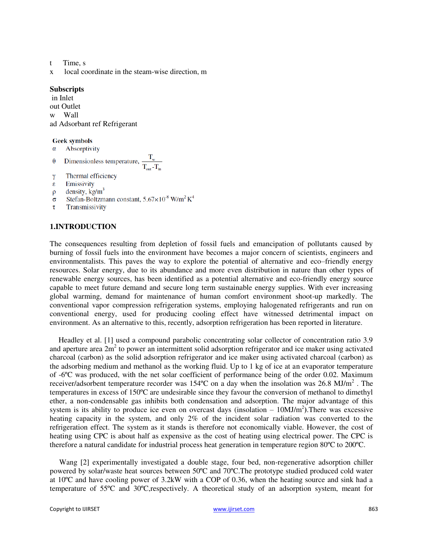- t Time, s
- x local coordinate in the steam-wise direction, m

#### **Subscripts**

in Inlet out Outlet w Wall ad Adsorbant ref Refrigerant

#### **Geek symbols**

- Absorptivity  $\alpha$
- Dimensionless temperature,  $\frac{T_w}{T}$  $\theta$
- Thermal efficiency  $\gamma$
- Emissivity ε
- density,  $kg/m<sup>3</sup>$  $\rho$
- Stefan-Boltzmann constant,  $5.67 \times 10^8$  W/m<sup>2</sup> K<sup>4</sup>  $\sigma$
- Transmissivity τ

# **1.INTRODUCTION**

The consequences resulting from depletion of fossil fuels and emancipation of pollutants caused by burning of fossil fuels into the environment have becomes a major concern of scientists, engineers and environmentalists. This paves the way to explore the potential of alternative and eco–friendly energy resources. Solar energy, due to its abundance and more even distribution in nature than other types of renewable energy sources, has been identified as a potential alternative and eco-friendly energy source capable to meet future demand and secure long term sustainable energy supplies. With ever increasing global warming, demand for maintenance of human comfort environment shoot-up markedly. The conventional vapor compression refrigeration systems, employing halogenated refrigerants and run on conventional energy, used for producing cooling effect have witnessed detrimental impact on environment. As an alternative to this, recently, adsorption refrigeration has been reported in literature.

Headley et al. [1] used a compound parabolic concentrating solar collector of concentration ratio 3.9 and aperture area  $2m^2$  to power an intermittent solid adsorption refrigerator and ice maker using activated charcoal (carbon) as the solid adsorption refrigerator and ice maker using activated charcoal (carbon) as the adsorbing medium and methanol as the working fluid. Up to 1 kg of ice at an evaporator temperature of -6ºC was produced, with the net solar coefficient of performance being of the order 0.02. Maximum receiver/adsorbent temperature recorder was 154°C on a day when the insolation was 26.8 MJ/m<sup>2</sup>. The temperatures in excess of 150ºC are undesirable since they favour the conversion of methanol to dimethyl ether, a non-condensable gas inhibits both condensation and adsorption. The major advantage of this system is its ability to produce ice even on overcast days (insolation  $-10MJ/m<sup>2</sup>$ ). There was excessive heating capacity in the system, and only 2% of the incident solar radiation was converted to the refrigeration effect. The system as it stands is therefore not economically viable. However, the cost of heating using CPC is about half as expensive as the cost of heating using electrical power. The CPC is therefore a natural candidate for industrial process heat generation in temperature region 80ºC to 200ºC.

Wang [2] experimentally investigated a double stage, four bed, non-regenerative adsorption chiller powered by solar/waste heat sources between 50ºC and 70ºC.The prototype studied produced cold water at 10ºC and have cooling power of 3.2kW with a COP of 0.36, when the heating source and sink had a temperature of 55ºC and 30ºC,respectively. A theoretical study of an adsorption system, meant for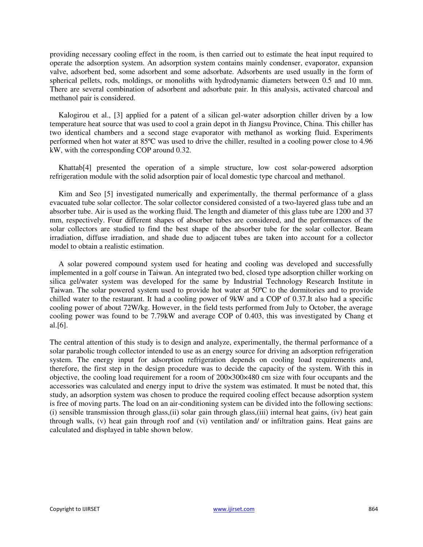providing necessary cooling effect in the room, is then carried out to estimate the heat input required to operate the adsorption system. An adsorption system contains mainly condenser, evaporator, expansion valve, adsorbent bed, some adsorbent and some adsorbate. Adsorbents are used usually in the form of spherical pellets, rods, moldings, or monoliths with hydrodynamic diameters between 0.5 and 10 mm. There are several combination of adsorbent and adsorbate pair. In this analysis, activated charcoal and methanol pair is considered.

Kalogirou et al., [3] applied for a patent of a silican gel-water adsorption chiller driven by a low temperature heat source that was used to cool a grain depot in th Jiangsu Province, China. This chiller has two identical chambers and a second stage evaporator with methanol as working fluid. Experiments performed when hot water at 85ºC was used to drive the chiller, resulted in a cooling power close to 4.96 kW, with the corresponding COP around 0.32.

Khattab[4] presented the operation of a simple structure, low cost solar-powered adsorption refrigeration module with the solid adsorption pair of local domestic type charcoal and methanol.

Kim and Seo [5] investigated numerically and experimentally, the thermal performance of a glass evacuated tube solar collector. The solar collector considered consisted of a two-layered glass tube and an absorber tube. Air is used as the working fluid. The length and diameter of this glass tube are 1200 and 37 mm, respectively. Four different shapes of absorber tubes are considered, and the performances of the solar collectors are studied to find the best shape of the absorber tube for the solar collector. Beam irradiation, diffuse irradiation, and shade due to adjacent tubes are taken into account for a collector model to obtain a realistic estimation.

A solar powered compound system used for heating and cooling was developed and successfully implemented in a golf course in Taiwan. An integrated two bed, closed type adsorption chiller working on silica gel/water system was developed for the same by Industrial Technology Research Institute in Taiwan. The solar powered system used to provide hot water at 50ºC to the dormitories and to provide chilled water to the restaurant. It had a cooling power of 9kW and a COP of 0.37.It also had a specific cooling power of about 72W/kg. However, in the field tests performed from July to October, the average cooling power was found to be 7.79kW and average COP of 0.403, this was investigated by Chang et al.[6].

The central attention of this study is to design and analyze, experimentally, the thermal performance of a solar parabolic trough collector intended to use as an energy source for driving an adsorption refrigeration system. The energy input for adsorption refrigeration depends on cooling load requirements and, therefore, the first step in the design procedure was to decide the capacity of the system. With this in objective, the cooling load requirement for a room of 200×300×480 cm size with four occupants and the accessories was calculated and energy input to drive the system was estimated. It must be noted that, this study, an adsorption system was chosen to produce the required cooling effect because adsorption system is free of moving parts. The load on an air-conditioning system can be divided into the following sections: (i) sensible transmission through glass,(ii) solar gain through glass,(iii) internal heat gains, (iv) heat gain through walls, (v) heat gain through roof and (vi) ventilation and/ or infiltration gains. Heat gains are calculated and displayed in table shown below.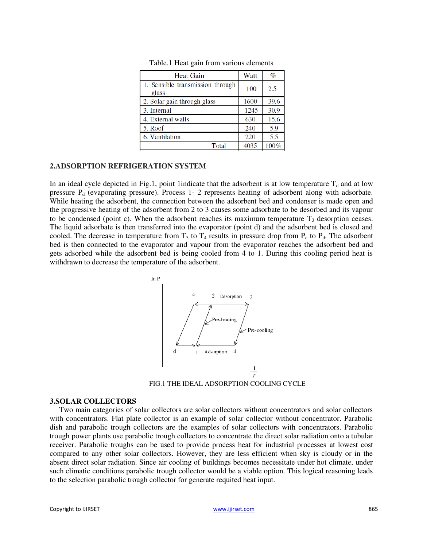| <b>Heat Gain</b>                          | Watt | $\%$ |
|-------------------------------------------|------|------|
| 1. Sensible transmission through<br>glass | 100  | 2.5  |
| 2. Solar gain through glass               | 1600 | 39.6 |
| 3. Internal                               | 1245 | 30.9 |
| 4. External walls                         | 630  | 15.6 |
| 5. Roof                                   | 240  | 5.9  |
| 6. Ventilation                            | 220  | 5.5  |
| Total                                     | 4035 | 100% |

Table.1 Heat gain from various elements

#### **2.ADSORPTION REFRIGERATION SYSTEM**

In an ideal cycle depicted in Fig.1, point 1indicate that the adsorbent is at low temperature  $T_d$  and at low pressure  $P_d$  (evaporating pressure). Process 1- 2 represents heating of adsorbent along with adsorbate. While heating the adsorbent, the connection between the adsorbent bed and condenser is made open and the progressive heating of the adsorbent from 2 to 3 causes some adsorbate to be desorbed and its vapour to be condensed (point c). When the adsorbent reaches its maximum temperature  $T<sub>3</sub>$  desorption ceases. The liquid adsorbate is then transferred into the evaporator (point d) and the adsorbent bed is closed and cooled. The decrease in temperature from  $T_3$  to  $T_4$  results in pressure drop from  $P_c$  to  $P_d$ . The adsorbent bed is then connected to the evaporator and vapour from the evaporator reaches the adsorbent bed and gets adsorbed while the adsorbent bed is being cooled from 4 to 1. During this cooling period heat is withdrawn to decrease the temperature of the adsorbent.



FIG.1 THE IDEAL ADSORPTION COOLING CYCLE

#### **3.SOLAR COLLECTORS**

Two main categories of solar collectors are solar collectors without concentrators and solar collectors with concentrators. Flat plate collector is an example of solar collector without concentrator. Parabolic dish and parabolic trough collectors are the examples of solar collectors with concentrators. Parabolic trough power plants use parabolic trough collectors to concentrate the direct solar radiation onto a tubular receiver. Parabolic troughs can be used to provide process heat for industrial processes at lowest cost compared to any other solar collectors. However, they are less efficient when sky is cloudy or in the absent direct solar radiation. Since air cooling of buildings becomes necessitate under hot climate, under such climatic conditions parabolic trough collector would be a viable option. This logical reasoning leads to the selection parabolic trough collector for generate requited heat input.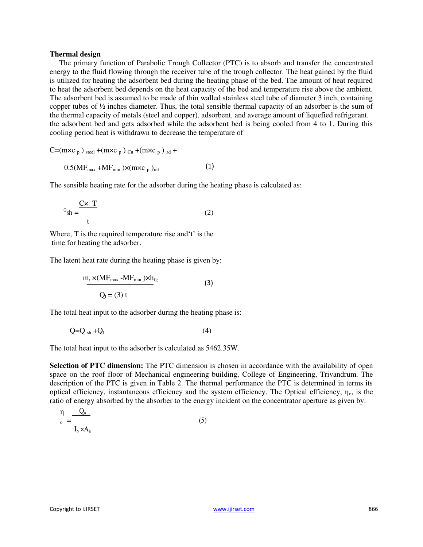#### **Thermal design**

The primary function of Parabolic Trough Collector (PTC) is to absorb and transfer the concentrated energy to the fluid flowing through the receiver tube of the trough collector. The heat gained by the fluid is utilized for heating the adsorbent bed during the heating phase of the bed. The amount of heat required to heat the adsorbent bed depends on the heat capacity of the bed and temperature rise above the ambient. The adsorbent bed is assumed to be made of thin walled stainless steel tube of diameter 3 inch, containing copper tubes of ½ inches diameter. Thus, the total sensible thermal capacity of an adsorber is the sum of the thermal capacity of metals (steel and copper), adsorbent, and average amount of liquefied refrigerant. the adsorbent bed and gets adsorbed while the adsorbent bed is being cooled from 4 to 1. During this cooling period heat is withdrawn to decrease the temperature of

 $C=(m \times c_p)$  steel  $+(m \times c_p)_{Cu}+(m \times c_p)_{ad}+$ 

 $0.5(MF_{max} + MF_{min}) \times (mxc_p)_{ref}$ (1)

The sensible heating rate for the adsorber during the heating phase is calculated as:

$$
{}^{Q}_{\text{sh}} = \frac{\mathbf{C} \times \mathbf{T}}{t} \tag{2}
$$

Where, T is the required temperature rise and't' is the time for heating the adsorber.

The latent heat rate during the heating phase is given by:

$$
\frac{m_r \times (MF_{max} - MF_{min}) \times h_{fg}}{Q_l = (3) t}
$$
 (3)

The total heat input to the adsorber during the heating phase is:

$$
Q=Q_{sh}+Q_1\tag{4}
$$

The total heat input to the adsorber is calculated as 5462.35W.

**Selection of PTC dimension:** The PTC dimension is chosen in accordance with the availability of open space on the roof floor of Mechanical engineering building, College of Engineering, Trivandrum. The description of the PTC is given in Table 2. The thermal performance the PTC is determined in terms its optical efficiency, instantaneous efficiency and the system efficiency. The Optical efficiency,  $\eta_0$ , is the ratio of energy absorbed by the absorber to the energy incident on the concentrator aperture as given by:

$$
\eta = \frac{Q_a}{I_b \times A_a} \tag{5}
$$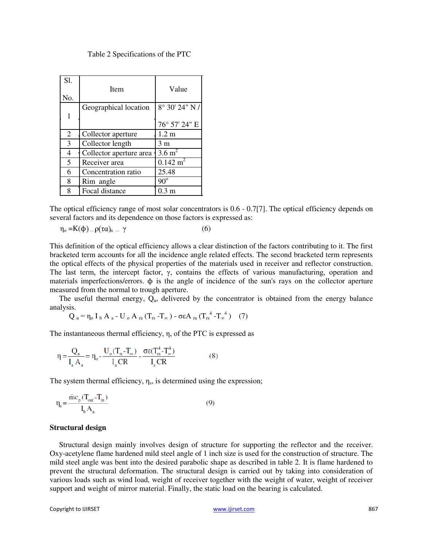| Sl.            | Item                    | Value               |
|----------------|-------------------------|---------------------|
| No.            |                         |                     |
|                | Geographical location   | 8° 30' 24" N/       |
| 1              |                         |                     |
|                |                         | 76° 57' 24" E       |
| $\overline{2}$ | Collector aperture      | 1.2 <sub>m</sub>    |
| 3              | Collector length        | 3 <sub>m</sub>      |
| 4              | Collector aperture area | $3.6 \text{ m}^2$   |
| 5              | Receiver area           | $0.142 \text{ m}^2$ |
| 6              | Concentration ratio     | 25.48               |
| 8              | Rim angle               | $90^\circ$          |
| 8              | Focal distance          | $0.3 \text{ m}$     |

Table 2 Specifications of the PTC

The optical efficiency range of most solar concentrators is 0.6 - 0.7[7]. The optical efficiency depends on several factors and its dependence on those factors is expressed as:

$$
\eta_o = K(\varphi) = \rho(\tau \alpha)_n = \gamma \tag{6}
$$

This definition of the optical efficiency allows a clear distinction of the factors contributing to it. The first bracketed term accounts for all the incidence angle related effects. The second bracketed term represents the optical effects of the physical properties of the materials used in receiver and reflector construction. The last term, the intercept factor,  $\gamma$ , contains the effects of various manufacturing, operation and materials imperfections/errors. ϕ is the angle of incidence of the sun's rays on the collector aperture measured from the normal to trough aperture.

The useful thermal energy,  $Q_{\mu}$ , delivered by the concentrator is obtained from the energy balance analysis.

$$
Q_{u} = \eta_{o} I_{b} A_{a} - U_{o} A_{ra} (T_{rs} - T_{\infty}) - \sigma \epsilon A_{ra} (T_{rs}^{4} - T_{\infty}^{4}) \quad (7)
$$

The instantaneous thermal efficiency, η, of the PTC is expressed as

$$
\eta = \frac{Q_u}{I_a A_a} = \eta_o - \frac{U_o (T_{rs} - T_{\infty})}{I_a CR} - \frac{\sigma \varepsilon (T_{rs}^4 - T_{\infty}^4)}{I_a CR}
$$
(8)

The system thermal efficiency,  $\eta_s$ , is determined using the expression;

$$
\eta_{\rm s} = \frac{\text{mc}_{\rm p} (T_{\rm out} - T_{\rm in})}{I_{\rm b} A_{\rm a}}
$$
\n(9)

#### **Structural design**

Structural design mainly involves design of structure for supporting the reflector and the receiver. Oxy-acetylene flame hardened mild steel angle of 1 inch size is used for the construction of structure. The mild steel angle was bent into the desired parabolic shape as described in table 2. It is flame hardened to prevent the structural deformation. The structural design is carried out by taking into consideration of various loads such as wind load, weight of receiver together with the weight of water, weight of receiver support and weight of mirror material. Finally, the static load on the bearing is calculated.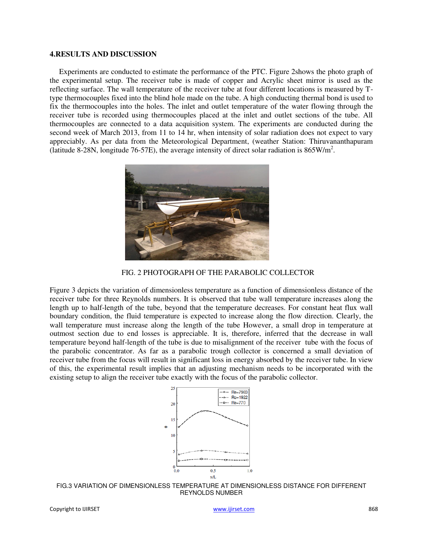# **4.RESULTS AND DISCUSSION**

Experiments are conducted to estimate the performance of the PTC. Figure 2shows the photo graph of the experimental setup. The receiver tube is made of copper and Acrylic sheet mirror is used as the reflecting surface. The wall temperature of the receiver tube at four different locations is measured by Ttype thermocouples fixed into the blind hole made on the tube. A high conducting thermal bond is used to fix the thermocouples into the holes. The inlet and outlet temperature of the water flowing through the receiver tube is recorded using thermocouples placed at the inlet and outlet sections of the tube. All thermocouples are connected to a data acquisition system. The experiments are conducted during the second week of March 2013, from 11 to 14 hr, when intensity of solar radiation does not expect to vary appreciably. As per data from the Meteorological Department, (weather Station: Thiruvananthapuram (latitude 8-28N, longitude 76-57E), the average intensity of direct solar radiation is  $865 \text{W/m}^2$ .



FIG. 2 PHOTOGRAPH OF THE PARABOLIC COLLECTOR

Figure 3 depicts the variation of dimensionless temperature as a function of dimensionless distance of the receiver tube for three Reynolds numbers. It is observed that tube wall temperature increases along the length up to half-length of the tube, beyond that the temperature decreases. For constant heat flux wall boundary condition, the fluid temperature is expected to increase along the flow direction. Clearly, the wall temperature must increase along the length of the tube However, a small drop in temperature at outmost section due to end losses is appreciable. It is, therefore, inferred that the decrease in wall temperature beyond half-length of the tube is due to misalignment of the receiver tube with the focus of the parabolic concentrator. As far as a parabolic trough collector is concerned a small deviation of receiver tube from the focus will result in significant loss in energy absorbed by the receiver tube. In view of this, the experimental result implies that an adjusting mechanism needs to be incorporated with the existing setup to align the receiver tube exactly with the focus of the parabolic collector.



FIG.3 VARIATION OF DIMENSIONLESS TEMPERATURE AT DIMENSIONLESS DISTANCE FOR DIFFERENT REYNOLDS NUMBER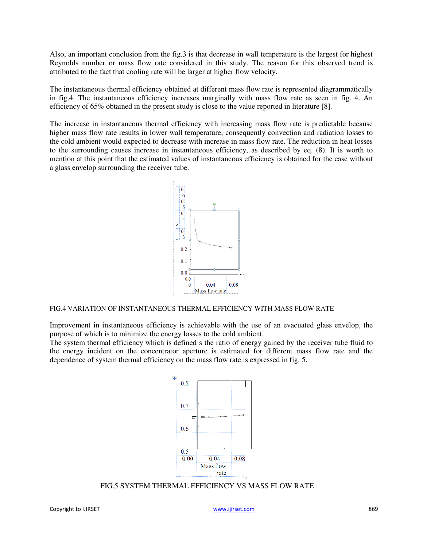Also, an important conclusion from the fig.3 is that decrease in wall temperature is the largest for highest Reynolds number or mass flow rate considered in this study. The reason for this observed trend is attributed to the fact that cooling rate will be larger at higher flow velocity.

The instantaneous thermal efficiency obtained at different mass flow rate is represented diagrammatically in fig.4. The instantaneous efficiency increases marginally with mass flow rate as seen in fig. 4. An efficiency of 65% obtained in the present study is close to the value reported in literature [8].

The increase in instantaneous thermal efficiency with increasing mass flow rate is predictable because higher mass flow rate results in lower wall temperature, consequently convection and radiation losses to the cold ambient would expected to decrease with increase in mass flow rate. The reduction in heat losses to the surrounding causes increase in instantaneous efficiency, as described by eq. (8). It is worth to mention at this point that the estimated values of instantaneous efficiency is obtained for the case without a glass envelop surrounding the receiver tube.



#### FIG.4 VARIATION OF INSTANTANEOUS THERMAL EFFICIENCY WITH MASS FLOW RATE

Improvement in instantaneous efficiency is achievable with the use of an evacuated glass envelop, the purpose of which is to minimize the energy losses to the cold ambient.

The system thermal efficiency which is defined s the ratio of energy gained by the receiver tube fluid to the energy incident on the concentrator aperture is estimated for different mass flow rate and the dependence of system thermal efficiency on the mass flow rate is expressed in fig. 5.



FIG.5 SYSTEM THERMAL EFFICIENCY VS MASS FLOW RATE